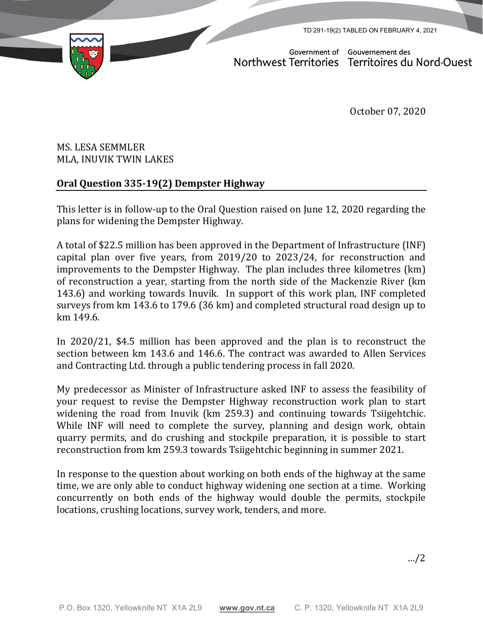TD 291-19(2) TABLED ON FEBRUARY 4, 2021



Government of Gouvernement des Northwest Territories Territoires du Nord-Ouest

October 07, 2020

## MS. LESA SEMMLER MLA, INUVIK TWIN LAKES

## **Oral Question 335-19(2) Dempster Highway**

This letter is in follow-up to the Oral Question raised on June 12, 2020 regarding the plans for widening the Dempster Highway.

A total of \$22.5 million has been approved in the Department of Infrastructure (INF) capital plan over five years, from 2019/20 to 2023/24, for reconstruction and improvements to the Dempster Highway. The plan includes three kilometres (km) of reconstruction a year, starting from the north side of the Mackenzie River (km 143.6) and working towards Inuvik. In support of this work plan, INF completed surveys from km 143.6 to 179.6 (36 km) and completed structural road design up to km 149.6.

In 2020/21, \$4.5 million has been approved and the plan is to reconstruct the section between km 143.6 and 146.6. The contract was awarded to Allen Services and Contracting Ltd. through a public tendering process in fall 2020.

My predecessor as Minister of Infrastructure asked INF to assess the feasibility of your request to revise the Dempster Highway reconstruction work plan to start widening the road from Inuvik (km 259.3) and continuing towards Tsiigehtchic. While INF will need to complete the survey, planning and design work, obtain quarry permits, and do crushing and stockpile preparation, it is possible to start reconstruction from km 259.3 towards Tsiigehtchic beginning in summer 2021.

In response to the question about working on both ends of the highway at the same time, we are only able to conduct highway widening one section at a time. Working concurrently on both ends of the highway would double the permits, stockpile locations, crushing locations, survey work, tenders, and more.

…/2